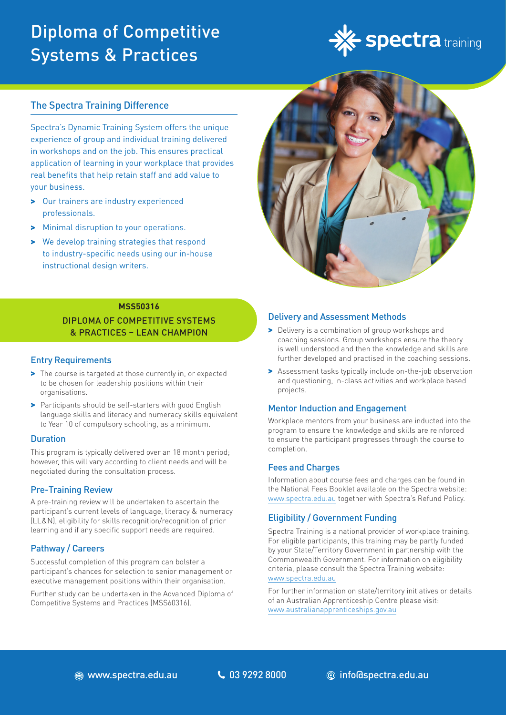# Diploma of Competitive Systems & Practices



### The Spectra Training Difference

Spectra's Dynamic Training System offers the unique experience of group and individual training delivered in workshops and on the job. This ensures practical application of learning in your workplace that provides real benefits that help retain staff and add value to your business.

- > Our trainers are industry experienced professionals.
- > Minimal disruption to your operations.
- > We develop training strategies that respond to industry-specific needs using our in-house instructional design writers.



### **MSS50316** DIPLOMA OF COMPETITIVE SYSTEMS & PRACTICES – LEAN CHAMPION

### Entry Requirements

- > The course is targeted at those currently in, or expected to be chosen for leadership positions within their organisations.
- > Participants should be self-starters with good English language skills and literacy and numeracy skills equivalent to Year 10 of compulsory schooling, as a minimum.

### **Duration**

This program is typically delivered over an 18 month period; however, this will vary according to client needs and will be negotiated during the consultation process.

### Pre-Training Review

A pre-training review will be undertaken to ascertain the participant's current levels of language, literacy & numeracy (LL&N), eligibility for skills recognition/recognition of prior learning and if any specific support needs are required.

### Pathway / Careers

Successful completion of this program can bolster a participant's chances for selection to senior management or executive management positions within their organisation.

Further study can be undertaken in the Advanced Diploma of Competitive Systems and Practices (MSS60316).

### Delivery and Assessment Methods

- > Delivery is a combination of group workshops and coaching sessions. Group workshops ensure the theory is well understood and then the knowledge and skills are further developed and practised in the coaching sessions.
- > Assessment tasks typically include on-the-job observation and questioning, in-class activities and workplace based projects.

### Mentor Induction and Engagement

Workplace mentors from your business are inducted into the program to ensure the knowledge and skills are reinforced to ensure the participant progresses through the course to completion.

### Fees and Charges

Information about course fees and charges can be found in the National Fees Booklet available on the Spectra website: www.spectra.edu.au together with Spectra's Refund Policy.

### Eligibility / Government Funding

Spectra Training is a national provider of workplace training. For eligible participants, this training may be partly funded by your State/Territory Government in partnership with the Commonwealth Government. For information on eligibility criteria, please consult the Spectra Training website: [www.spectra.edu.au](https://www.spectra.edu.au/)

For further information on state/territory initiatives or details of an Australian Apprenticeship Centre please visit: [www.australianapprenticeships.gov.au](https://www.australianapprenticeships.gov.au/)